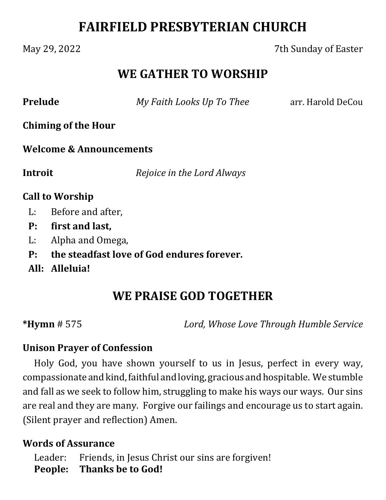# **FAIRFIELD PRESBYTERIAN CHURCH**

### May 29, 2022 7th Sunday of Easter

## **WE GATHER TO WORSHIP**

**Prelude** *My Faith Looks Up To Thee* arr. Harold DeCou

**Chiming of the Hour**

**Welcome & Announcements**

**Introit**  *Rejoice in the Lord Always*

#### **Call to Worship**

- L: Before and after,
- **P: first and last,**
- L: Alpha and Omega,
- **P: the steadfast love of God endures forever.**
- **All: Alleluia!**

## **WE PRAISE GOD TOGETHER**

**\*Hymn** # 575 *Lord, Whose Love Through Humble Service*

#### **Unison Prayer of Confession**

Holy God, you have shown yourself to us in Jesus, perfect in every way, compassionate and kind, faithful and loving, gracious and hospitable. We stumble and fall as we seek to follow him, struggling to make his ways our ways. Our sins are real and they are many. Forgive our failings and encourage us to start again. (Silent prayer and reflection) Amen.

#### **Words of Assurance**

Leader: Friends, in Jesus Christ our sins are forgiven! **People: Thanks be to God!**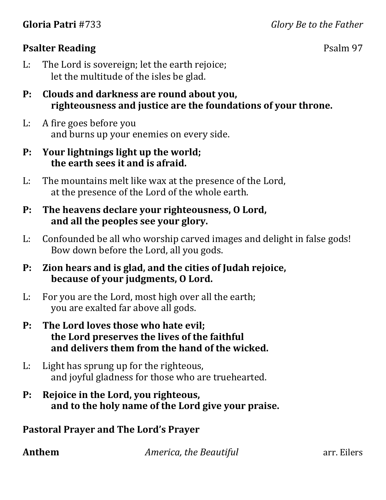#### **Psalter Reading** Psalm 97

- L: The Lord is sovereign; let the earth rejoice; let the multitude of the isles be glad.
- **P: Clouds and darkness are round about you, righteousness and justice are the foundations of your throne.**
- L: A fire goes before you and burns up your enemies on every side.
- **P: Your lightnings light up the world; the earth sees it and is afraid.**
- L: The mountains melt like wax at the presence of the Lord, at the presence of the Lord of the whole earth.
- **P: The heavens declare your righteousness, O Lord, and all the peoples see your glory.**
- L: Confounded be all who worship carved images and delight in false gods! Bow down before the Lord, all you gods.
- **P: Zion hears and is glad, and the cities of Judah rejoice, because of your judgments, O Lord.**
- L: For you are the Lord, most high over all the earth; you are exalted far above all gods.
- **P: The Lord loves those who hate evil; the Lord preserves the lives of the faithful and delivers them from the hand of the wicked.**
- L: Light has sprung up for the righteous, and joyful gladness for those who are truehearted.
- **P: Rejoice in the Lord, you righteous, and to the holy name of the Lord give your praise.**

#### **Pastoral Prayer and The Lord's Prayer**

**Anthem** *America, the Beautiful* **arr.** Eilers